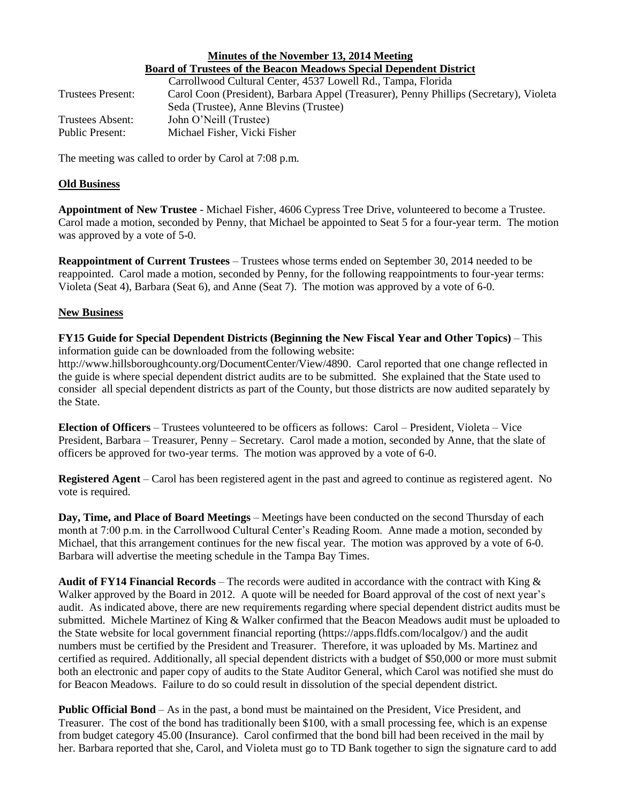# **Minutes of the November 13, 2014 Meeting Board of Trustees of the Beacon Meadows Special Dependent District**

|                          | Carrollwood Cultural Center, 4537 Lowell Rd., Tampa, Florida                           |
|--------------------------|----------------------------------------------------------------------------------------|
| <b>Trustees Present:</b> | Carol Coon (President), Barbara Appel (Treasurer), Penny Phillips (Secretary), Violeta |
|                          | Seda (Trustee), Anne Blevins (Trustee)                                                 |
| Trustees Absent:         | John O'Neill (Trustee)                                                                 |
| Public Present:          | Michael Fisher, Vicki Fisher                                                           |

The meeting was called to order by Carol at 7:08 p.m.

#### **Old Business**

**Appointment of New Trustee** - Michael Fisher, 4606 Cypress Tree Drive, volunteered to become a Trustee. Carol made a motion, seconded by Penny, that Michael be appointed to Seat 5 for a four-year term. The motion was approved by a vote of 5-0.

**Reappointment of Current Trustees** – Trustees whose terms ended on September 30, 2014 needed to be reappointed. Carol made a motion, seconded by Penny, for the following reappointments to four-year terms: Violeta (Seat 4), Barbara (Seat 6), and Anne (Seat 7). The motion was approved by a vote of 6-0.

### **New Business**

**FY15 Guide for Special Dependent Districts (Beginning the New Fiscal Year and Other Topics)** – This information guide can be downloaded from the following website:

http://www.hillsboroughcounty.org/DocumentCenter/View/4890. Carol reported that one change reflected in the guide is where special dependent district audits are to be submitted. She explained that the State used to consider all special dependent districts as part of the County, but those districts are now audited separately by the State.

**Election of Officers** – Trustees volunteered to be officers as follows: Carol – President, Violeta – Vice President, Barbara – Treasurer, Penny – Secretary. Carol made a motion, seconded by Anne, that the slate of officers be approved for two-year terms. The motion was approved by a vote of 6-0.

**Registered Agent** – Carol has been registered agent in the past and agreed to continue as registered agent. No vote is required.

**Day, Time, and Place of Board Meetings** – Meetings have been conducted on the second Thursday of each month at 7:00 p.m. in the Carrollwood Cultural Center's Reading Room. Anne made a motion, seconded by Michael, that this arrangement continues for the new fiscal year. The motion was approved by a vote of 6-0. Barbara will advertise the meeting schedule in the Tampa Bay Times.

**Audit of FY14 Financial Records** – The records were audited in accordance with the contract with King & Walker approved by the Board in 2012. A quote will be needed for Board approval of the cost of next year's audit. As indicated above, there are new requirements regarding where special dependent district audits must be submitted. Michele Martinez of King & Walker confirmed that the Beacon Meadows audit must be uploaded to the State website for local government financial reporting (https://apps.fldfs.com/localgov/) and the audit numbers must be certified by the President and Treasurer. Therefore, it was uploaded by Ms. Martinez and certified as required. Additionally, all special dependent districts with a budget of \$50,000 or more must submit both an electronic and paper copy of audits to the State Auditor General, which Carol was notified she must do for Beacon Meadows. Failure to do so could result in dissolution of the special dependent district.

**Public Official Bond** – As in the past, a bond must be maintained on the President, Vice President, and Treasurer. The cost of the bond has traditionally been \$100, with a small processing fee, which is an expense from budget category 45.00 (Insurance). Carol confirmed that the bond bill had been received in the mail by her. Barbara reported that she, Carol, and Violeta must go to TD Bank together to sign the signature card to add